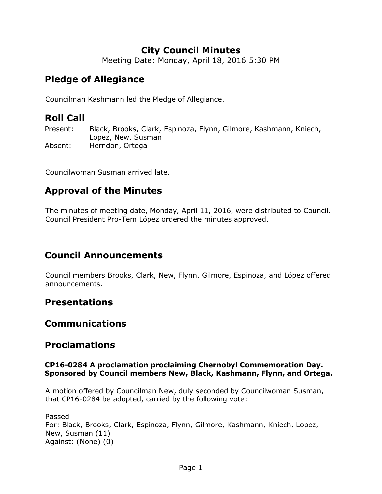# **City Council Minutes**

Meeting Date: Monday, April 18, 2016 5:30 PM

# **Pledge of Allegiance**

Councilman Kashmann led the Pledge of Allegiance.

# **Roll Call**

Present: Black, Brooks, Clark, Espinoza, Flynn, Gilmore, Kashmann, Kniech, Lopez, New, Susman Absent: Herndon, Ortega

Councilwoman Susman arrived late.

# **Approval of the Minutes**

The minutes of meeting date, Monday, April 11, 2016, were distributed to Council. Council President Pro-Tem López ordered the minutes approved.

# **Council Announcements**

Council members Brooks, Clark, New, Flynn, Gilmore, Espinoza, and López offered announcements.

## **Presentations**

# **Communications**

# **Proclamations**

## **CP16-0284 A proclamation proclaiming Chernobyl Commemoration Day. Sponsored by Council members New, Black, Kashmann, Flynn, and Ortega.**

A motion offered by Councilman New, duly seconded by Councilwoman Susman, that CP16-0284 be adopted, carried by the following vote:

Passed For: Black, Brooks, Clark, Espinoza, Flynn, Gilmore, Kashmann, Kniech, Lopez, New, Susman (11) Against: (None) (0)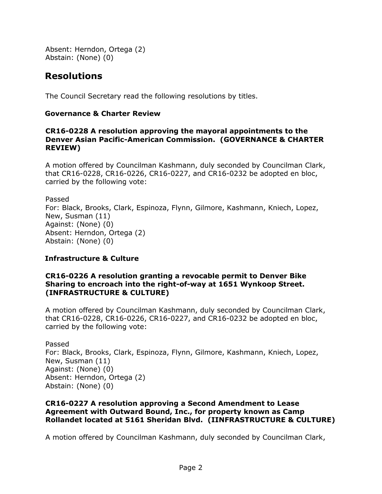Absent: Herndon, Ortega (2) Abstain: (None) (0)

# **Resolutions**

The Council Secretary read the following resolutions by titles.

## **Governance & Charter Review**

#### **CR16-0228 A resolution approving the mayoral appointments to the Denver Asian Pacific-American Commission. (GOVERNANCE & CHARTER REVIEW)**

A motion offered by Councilman Kashmann, duly seconded by Councilman Clark, that CR16-0228, CR16-0226, CR16-0227, and CR16-0232 be adopted en bloc, carried by the following vote:

Passed For: Black, Brooks, Clark, Espinoza, Flynn, Gilmore, Kashmann, Kniech, Lopez, New, Susman (11) Against: (None) (0) Absent: Herndon, Ortega (2) Abstain: (None) (0)

## **Infrastructure & Culture**

## **CR16-0226 A resolution granting a revocable permit to Denver Bike Sharing to encroach into the right-of-way at 1651 Wynkoop Street. (INFRASTRUCTURE & CULTURE)**

A motion offered by Councilman Kashmann, duly seconded by Councilman Clark, that CR16-0228, CR16-0226, CR16-0227, and CR16-0232 be adopted en bloc, carried by the following vote:

Passed For: Black, Brooks, Clark, Espinoza, Flynn, Gilmore, Kashmann, Kniech, Lopez, New, Susman (11) Against: (None) (0) Absent: Herndon, Ortega (2) Abstain: (None) (0)

## **CR16-0227 A resolution approving a Second Amendment to Lease Agreement with Outward Bound, Inc., for property known as Camp Rollandet located at 5161 Sheridan Blvd. (IINFRASTRUCTURE & CULTURE)**

A motion offered by Councilman Kashmann, duly seconded by Councilman Clark,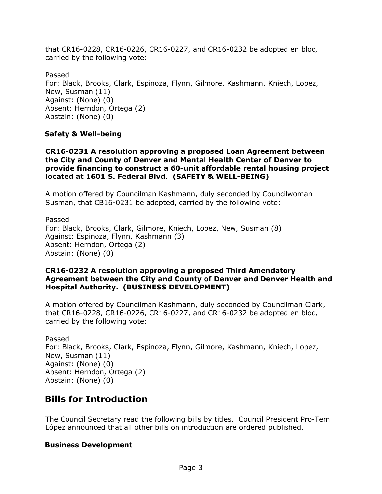that CR16-0228, CR16-0226, CR16-0227, and CR16-0232 be adopted en bloc, carried by the following vote:

Passed For: Black, Brooks, Clark, Espinoza, Flynn, Gilmore, Kashmann, Kniech, Lopez, New, Susman (11) Against: (None) (0) Absent: Herndon, Ortega (2) Abstain: (None) (0)

## **Safety & Well-being**

#### **CR16-0231 A resolution approving a proposed Loan Agreement between the City and County of Denver and Mental Health Center of Denver to provide financing to construct a 60-unit affordable rental housing project located at 1601 S. Federal Blvd. (SAFETY & WELL-BEING)**

A motion offered by Councilman Kashmann, duly seconded by Councilwoman Susman, that CB16-0231 be adopted, carried by the following vote:

Passed For: Black, Brooks, Clark, Gilmore, Kniech, Lopez, New, Susman (8) Against: Espinoza, Flynn, Kashmann (3) Absent: Herndon, Ortega (2) Abstain: (None) (0)

#### **CR16-0232 A resolution approving a proposed Third Amendatory Agreement between the City and County of Denver and Denver Health and Hospital Authority. (BUSINESS DEVELOPMENT)**

A motion offered by Councilman Kashmann, duly seconded by Councilman Clark, that CR16-0228, CR16-0226, CR16-0227, and CR16-0232 be adopted en bloc, carried by the following vote:

Passed For: Black, Brooks, Clark, Espinoza, Flynn, Gilmore, Kashmann, Kniech, Lopez, New, Susman (11) Against: (None) (0) Absent: Herndon, Ortega (2) Abstain: (None) (0)

# **Bills for Introduction**

The Council Secretary read the following bills by titles. Council President Pro-Tem López announced that all other bills on introduction are ordered published.

## **Business Development**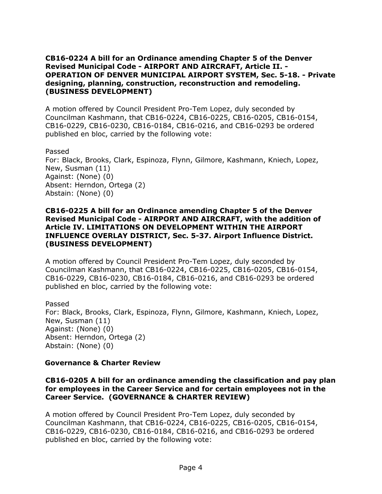#### **CB16-0224 A bill for an Ordinance amending Chapter 5 of the Denver Revised Municipal Code - AIRPORT AND AIRCRAFT, Article II. - OPERATION OF DENVER MUNICIPAL AIRPORT SYSTEM, Sec. 5-18. - Private designing, planning, construction, reconstruction and remodeling. (BUSINESS DEVELOPMENT)**

A motion offered by Council President Pro-Tem Lopez, duly seconded by Councilman Kashmann, that CB16-0224, CB16-0225, CB16-0205, CB16-0154, CB16-0229, CB16-0230, CB16-0184, CB16-0216, and CB16-0293 be ordered published en bloc, carried by the following vote:

Passed

For: Black, Brooks, Clark, Espinoza, Flynn, Gilmore, Kashmann, Kniech, Lopez, New, Susman (11) Against: (None) (0) Absent: Herndon, Ortega (2) Abstain: (None) (0)

#### **CB16-0225 A bill for an Ordinance amending Chapter 5 of the Denver Revised Municipal Code - AIRPORT AND AIRCRAFT, with the addition of Article IV. LIMITATIONS ON DEVELOPMENT WITHIN THE AIRPORT INFLUENCE OVERLAY DISTRICT, Sec. 5-37. Airport Influence District. (BUSINESS DEVELOPMENT)**

A motion offered by Council President Pro-Tem Lopez, duly seconded by Councilman Kashmann, that CB16-0224, CB16-0225, CB16-0205, CB16-0154, CB16-0229, CB16-0230, CB16-0184, CB16-0216, and CB16-0293 be ordered published en bloc, carried by the following vote:

Passed For: Black, Brooks, Clark, Espinoza, Flynn, Gilmore, Kashmann, Kniech, Lopez, New, Susman (11) Against: (None) (0) Absent: Herndon, Ortega (2) Abstain: (None) (0)

## **Governance & Charter Review**

**CB16-0205 A bill for an ordinance amending the classification and pay plan for employees in the Career Service and for certain employees not in the Career Service. (GOVERNANCE & CHARTER REVIEW)**

A motion offered by Council President Pro-Tem Lopez, duly seconded by Councilman Kashmann, that CB16-0224, CB16-0225, CB16-0205, CB16-0154, CB16-0229, CB16-0230, CB16-0184, CB16-0216, and CB16-0293 be ordered published en bloc, carried by the following vote: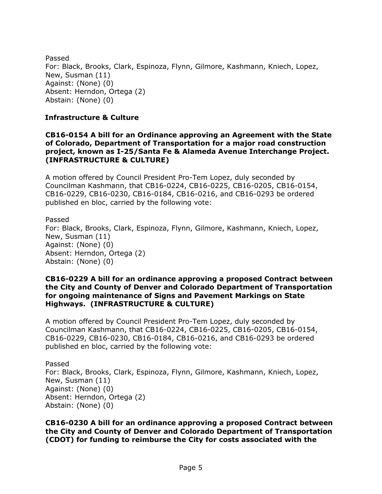Passed For: Black, Brooks, Clark, Espinoza, Flynn, Gilmore, Kashmann, Kniech, Lopez, New, Susman (11) Against: (None) (0) Absent: Herndon, Ortega (2) Abstain: (None) (0)

### **Infrastructure & Culture**

#### **CB16-0154 A bill for an Ordinance approving an Agreement with the State of Colorado, Department of Transportation for a major road construction project, known as I-25/Santa Fe & Alameda Avenue Interchange Project. (INFRASTRUCTURE & CULTURE)**

A motion offered by Council President Pro-Tem Lopez, duly seconded by Councilman Kashmann, that CB16-0224, CB16-0225, CB16-0205, CB16-0154, CB16-0229, CB16-0230, CB16-0184, CB16-0216, and CB16-0293 be ordered published en bloc, carried by the following vote:

Passed For: Black, Brooks, Clark, Espinoza, Flynn, Gilmore, Kashmann, Kniech, Lopez, New, Susman (11) Against: (None) (0) Absent: Herndon, Ortega (2) Abstain: (None) (0)

#### **CB16-0229 A bill for an ordinance approving a proposed Contract between the City and County of Denver and Colorado Department of Transportation for ongoing maintenance of Signs and Pavement Markings on State Highways. (INFRASTRUCTURE & CULTURE)**

A motion offered by Council President Pro-Tem Lopez, duly seconded by Councilman Kashmann, that CB16-0224, CB16-0225, CB16-0205, CB16-0154, CB16-0229, CB16-0230, CB16-0184, CB16-0216, and CB16-0293 be ordered published en bloc, carried by the following vote:

Passed For: Black, Brooks, Clark, Espinoza, Flynn, Gilmore, Kashmann, Kniech, Lopez, New, Susman (11) Against: (None) (0) Absent: Herndon, Ortega (2) Abstain: (None) (0)

**CB16-0230 A bill for an ordinance approving a proposed Contract between the City and County of Denver and Colorado Department of Transportation (CDOT) for funding to reimburse the City for costs associated with the**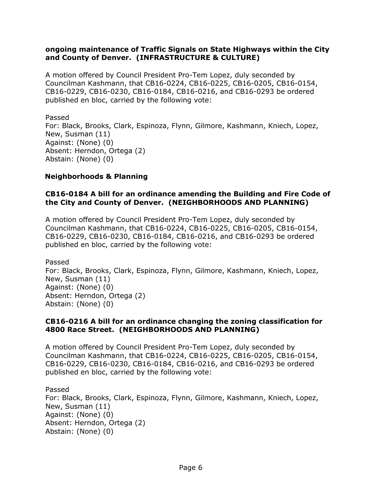#### **ongoing maintenance of Traffic Signals on State Highways within the City and County of Denver. (INFRASTRUCTURE & CULTURE)**

A motion offered by Council President Pro-Tem Lopez, duly seconded by Councilman Kashmann, that CB16-0224, CB16-0225, CB16-0205, CB16-0154, CB16-0229, CB16-0230, CB16-0184, CB16-0216, and CB16-0293 be ordered published en bloc, carried by the following vote:

Passed For: Black, Brooks, Clark, Espinoza, Flynn, Gilmore, Kashmann, Kniech, Lopez, New, Susman (11) Against: (None) (0) Absent: Herndon, Ortega (2) Abstain: (None) (0)

## **Neighborhoods & Planning**

## **CB16-0184 A bill for an ordinance amending the Building and Fire Code of the City and County of Denver. (NEIGHBORHOODS AND PLANNING)**

A motion offered by Council President Pro-Tem Lopez, duly seconded by Councilman Kashmann, that CB16-0224, CB16-0225, CB16-0205, CB16-0154, CB16-0229, CB16-0230, CB16-0184, CB16-0216, and CB16-0293 be ordered published en bloc, carried by the following vote:

Passed For: Black, Brooks, Clark, Espinoza, Flynn, Gilmore, Kashmann, Kniech, Lopez, New, Susman (11) Against: (None) (0) Absent: Herndon, Ortega (2) Abstain: (None) (0)

#### **CB16-0216 A bill for an ordinance changing the zoning classification for 4800 Race Street. (NEIGHBORHOODS AND PLANNING)**

A motion offered by Council President Pro-Tem Lopez, duly seconded by Councilman Kashmann, that CB16-0224, CB16-0225, CB16-0205, CB16-0154, CB16-0229, CB16-0230, CB16-0184, CB16-0216, and CB16-0293 be ordered published en bloc, carried by the following vote:

Passed For: Black, Brooks, Clark, Espinoza, Flynn, Gilmore, Kashmann, Kniech, Lopez, New, Susman (11) Against: (None) (0) Absent: Herndon, Ortega (2) Abstain: (None) (0)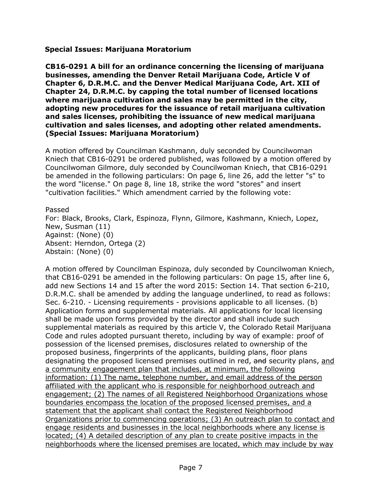#### **Special Issues: Marijuana Moratorium**

**CB16-0291 A bill for an ordinance concerning the licensing of marijuana businesses, amending the Denver Retail Marijuana Code, Article V of Chapter 6, D.R.M.C. and the Denver Medical Marijuana Code, Art. XII of Chapter 24, D.R.M.C. by capping the total number of licensed locations where marijuana cultivation and sales may be permitted in the city, adopting new procedures for the issuance of retail marijuana cultivation and sales licenses, prohibiting the issuance of new medical marijuana cultivation and sales licenses, and adopting other related amendments. (Special Issues: Marijuana Moratorium)**

A motion offered by Councilman Kashmann, duly seconded by Councilwoman Kniech that CB16-0291 be ordered published, was followed by a motion offered by Councilwoman Gilmore, duly seconded by Councilwoman Kniech, that CB16-0291 be amended in the following particulars: On page 6, line 26, add the letter "s" to the word "license." On page 8, line 18, strike the word "stores" and insert "cultivation facilities." Which amendment carried by the following vote:

Passed

For: Black, Brooks, Clark, Espinoza, Flynn, Gilmore, Kashmann, Kniech, Lopez, New, Susman (11) Against: (None) (0) Absent: Herndon, Ortega (2) Abstain: (None) (0)

A motion offered by Councilman Espinoza, duly seconded by Councilwoman Kniech, that CB16-0291 be amended in the following particulars: On page 15, after line 6, add new Sections 14 and 15 after the word 2015: Section 14. That section 6-210, D.R.M.C. shall be amended by adding the language underlined, to read as follows: Sec. 6-210. - Licensing requirements - provisions applicable to all licenses. (b) Application forms and supplemental materials. All applications for local licensing shall be made upon forms provided by the director and shall include such supplemental materials as required by this article V, the Colorado Retail Marijuana Code and rules adopted pursuant thereto, including by way of example: proof of possession of the licensed premises, disclosures related to ownership of the proposed business, fingerprints of the applicants, building plans, floor plans designating the proposed licensed premises outlined in red, and security plans, and a community engagement plan that includes, at minimum, the following information: (1) The name, telephone number, and email address of the person affiliated with the applicant who is responsible for neighborhood outreach and engagement; (2) The names of all Registered Neighborhood Organizations whose boundaries encompass the location of the proposed licensed premises, and a statement that the applicant shall contact the Registered Neighborhood Organizations prior to commencing operations; (3) An outreach plan to contact and engage residents and businesses in the local neighborhoods where any license is located; (4) A detailed description of any plan to create positive impacts in the neighborhoods where the licensed premises are located, which may include by way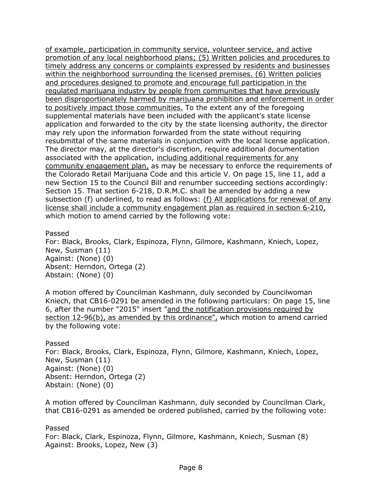of example, participation in community service, volunteer service, and active promotion of any local neighborhood plans; (5) Written policies and procedures to timely address any concerns or complaints expressed by residents and businesses within the neighborhood surrounding the licensed premises. (6) Written policies and procedures designed to promote and encourage full participation in the regulated marijuana industry by people from communities that have previously been disproportionately harmed by marijuana prohibition and enforcement in order to positively impact those communities. To the extent any of the foregoing supplemental materials have been included with the applicant's state license application and forwarded to the city by the state licensing authority, the director may rely upon the information forwarded from the state without requiring resubmittal of the same materials in conjunction with the local license application. The director may, at the director's discretion, require additional documentation associated with the application, including additional requirements for any community engagement plan, as may be necessary to enforce the requirements of the Colorado Retail Marijuana Code and this article V. On page 15, line 11, add a new Section 15 to the Council Bill and renumber succeeding sections accordingly: Section 15. That section 6-218, D.R.M.C. shall be amended by adding a new subsection (f) underlined, to read as follows: (f) All applications for renewal of any license shall include a community engagement plan as required in section 6-210, which motion to amend carried by the following vote:

Passed

For: Black, Brooks, Clark, Espinoza, Flynn, Gilmore, Kashmann, Kniech, Lopez, New, Susman (11) Against: (None) (0) Absent: Herndon, Ortega (2) Abstain: (None) (0)

A motion offered by Councilman Kashmann, duly seconded by Councilwoman Kniech, that CB16-0291 be amended in the following particulars: On page 15, line 6, after the number "2015" insert "and the notification provisions required by section 12-96(b), as amended by this ordinance", which motion to amend carried by the following vote:

Passed For: Black, Brooks, Clark, Espinoza, Flynn, Gilmore, Kashmann, Kniech, Lopez, New, Susman (11) Against: (None) (0) Absent: Herndon, Ortega (2) Abstain: (None) (0)

A motion offered by Councilman Kashmann, duly seconded by Councilman Clark, that CB16-0291 as amended be ordered published, carried by the following vote:

Passed For: Black, Clark, Espinoza, Flynn, Gilmore, Kashmann, Kniech, Susman (8) Against: Brooks, Lopez, New (3)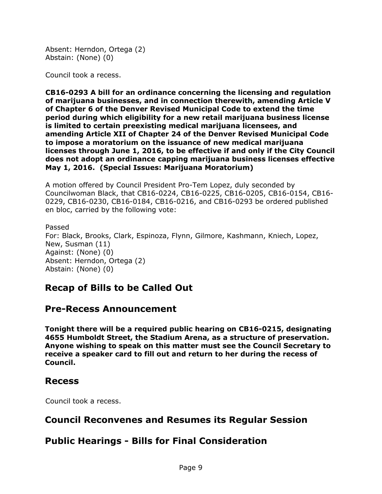Absent: Herndon, Ortega (2) Abstain: (None) (0)

Council took a recess.

**CB16-0293 A bill for an ordinance concerning the licensing and regulation of marijuana businesses, and in connection therewith, amending Article V of Chapter 6 of the Denver Revised Municipal Code to extend the time period during which eligibility for a new retail marijuana business license is limited to certain preexisting medical marijuana licensees, and amending Article XII of Chapter 24 of the Denver Revised Municipal Code to impose a moratorium on the issuance of new medical marijuana licenses through June 1, 2016, to be effective if and only if the City Council does not adopt an ordinance capping marijuana business licenses effective May 1, 2016. (Special Issues: Marijuana Moratorium)**

A motion offered by Council President Pro-Tem Lopez, duly seconded by Councilwoman Black, that CB16-0224, CB16-0225, CB16-0205, CB16-0154, CB16- 0229, CB16-0230, CB16-0184, CB16-0216, and CB16-0293 be ordered published en bloc, carried by the following vote:

Passed For: Black, Brooks, Clark, Espinoza, Flynn, Gilmore, Kashmann, Kniech, Lopez, New, Susman (11) Against: (None) (0) Absent: Herndon, Ortega (2) Abstain: (None) (0)

# **Recap of Bills to be Called Out**

## **Pre-Recess Announcement**

**Tonight there will be a required public hearing on CB16-0215, designating 4655 Humboldt Street, the Stadium Arena, as a structure of preservation. Anyone wishing to speak on this matter must see the Council Secretary to receive a speaker card to fill out and return to her during the recess of Council.** 

## **Recess**

Council took a recess.

# **Council Reconvenes and Resumes its Regular Session**

# **Public Hearings - Bills for Final Consideration**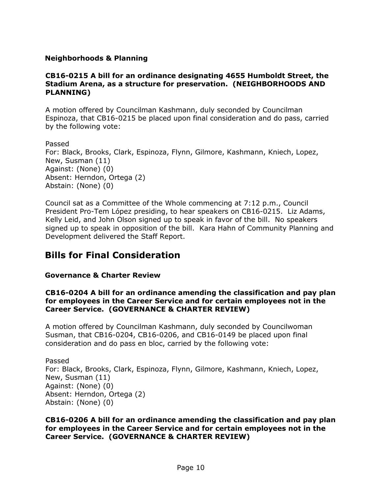## **Neighborhoods & Planning**

#### **CB16-0215 A bill for an ordinance designating 4655 Humboldt Street, the Stadium Arena, as a structure for preservation. (NEIGHBORHOODS AND PLANNING)**

A motion offered by Councilman Kashmann, duly seconded by Councilman Espinoza, that CB16-0215 be placed upon final consideration and do pass, carried by the following vote:

Passed For: Black, Brooks, Clark, Espinoza, Flynn, Gilmore, Kashmann, Kniech, Lopez, New, Susman (11) Against: (None) (0) Absent: Herndon, Ortega (2) Abstain: (None) (0)

Council sat as a Committee of the Whole commencing at 7:12 p.m., Council President Pro-Tem López presiding, to hear speakers on CB16-0215. Liz Adams, Kelly Leid, and John Olson signed up to speak in favor of the bill. No speakers signed up to speak in opposition of the bill. Kara Hahn of Community Planning and Development delivered the Staff Report.

# **Bills for Final Consideration**

## **Governance & Charter Review**

### **CB16-0204 A bill for an ordinance amending the classification and pay plan for employees in the Career Service and for certain employees not in the Career Service. (GOVERNANCE & CHARTER REVIEW)**

A motion offered by Councilman Kashmann, duly seconded by Councilwoman Susman, that CB16-0204, CB16-0206, and CB16-0149 be placed upon final consideration and do pass en bloc, carried by the following vote:

Passed For: Black, Brooks, Clark, Espinoza, Flynn, Gilmore, Kashmann, Kniech, Lopez, New, Susman (11) Against: (None) (0) Absent: Herndon, Ortega (2) Abstain: (None) (0)

**CB16-0206 A bill for an ordinance amending the classification and pay plan for employees in the Career Service and for certain employees not in the Career Service. (GOVERNANCE & CHARTER REVIEW)**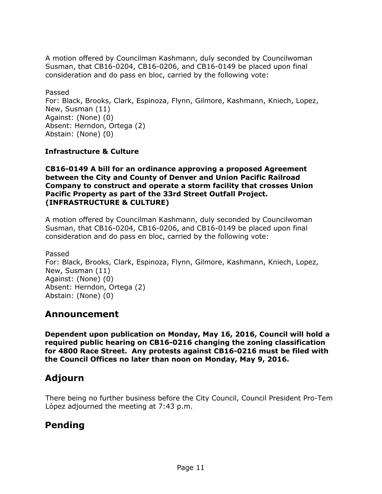A motion offered by Councilman Kashmann, duly seconded by Councilwoman Susman, that CB16-0204, CB16-0206, and CB16-0149 be placed upon final consideration and do pass en bloc, carried by the following vote:

Passed For: Black, Brooks, Clark, Espinoza, Flynn, Gilmore, Kashmann, Kniech, Lopez, New, Susman (11) Against: (None) (0) Absent: Herndon, Ortega (2) Abstain: (None) (0)

## **Infrastructure & Culture**

**CB16-0149 A bill for an ordinance approving a proposed Agreement between the City and County of Denver and Union Pacific Railroad Company to construct and operate a storm facility that crosses Union Pacific Property as part of the 33rd Street Outfall Project. (INFRASTRUCTURE & CULTURE)**

A motion offered by Councilman Kashmann, duly seconded by Councilwoman Susman, that CB16-0204, CB16-0206, and CB16-0149 be placed upon final consideration and do pass en bloc, carried by the following vote:

Passed For: Black, Brooks, Clark, Espinoza, Flynn, Gilmore, Kashmann, Kniech, Lopez, New, Susman (11) Against: (None) (0) Absent: Herndon, Ortega (2) Abstain: (None) (0)

## **Announcement**

**Dependent upon publication on Monday, May 16, 2016, Council will hold a required public hearing on CB16-0216 changing the zoning classification for 4800 Race Street. Any protests against CB16-0216 must be filed with the Council Offices no later than noon on Monday, May 9, 2016.** 

# **Adjourn**

There being no further business before the City Council, Council President Pro-Tem López adjourned the meeting at 7:43 p.m.

# **Pending**